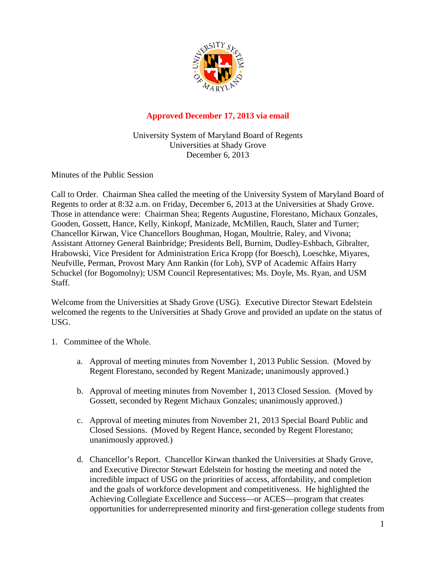

## **Approved December 17, 2013 via email**

University System of Maryland Board of Regents Universities at Shady Grove December 6, 2013

Minutes of the Public Session

Call to Order. Chairman Shea called the meeting of the University System of Maryland Board of Regents to order at 8:32 a.m. on Friday, December 6, 2013 at the Universities at Shady Grove. Those in attendance were: Chairman Shea; Regents Augustine, Florestano, Michaux Gonzales, Gooden, Gossett, Hance, Kelly, Kinkopf, Manizade, McMillen, Rauch, Slater and Turner; Chancellor Kirwan, Vice Chancellors Boughman, Hogan, Moultrie, Raley, and Vivona; Assistant Attorney General Bainbridge; Presidents Bell, Burnim, Dudley-Eshbach, Gibralter, Hrabowski, Vice President for Administration Erica Kropp (for Boesch), Loeschke, Miyares, Neufville, Perman, Provost Mary Ann Rankin (for Loh), SVP of Academic Affairs Harry Schuckel (for Bogomolny); USM Council Representatives; Ms. Doyle, Ms. Ryan, and USM Staff.

Welcome from the Universities at Shady Grove (USG). Executive Director Stewart Edelstein welcomed the regents to the Universities at Shady Grove and provided an update on the status of USG.

- 1. Committee of the Whole.
	- a. Approval of meeting minutes from November 1, 2013 Public Session. (Moved by Regent Florestano, seconded by Regent Manizade; unanimously approved.)
	- b. Approval of meeting minutes from November 1, 2013 Closed Session. (Moved by Gossett, seconded by Regent Michaux Gonzales; unanimously approved.)
	- c. Approval of meeting minutes from November 21, 2013 Special Board Public and Closed Sessions. (Moved by Regent Hance, seconded by Regent Florestano; unanimously approved.)
	- d. Chancellor's Report. Chancellor Kirwan thanked the Universities at Shady Grove, and Executive Director Stewart Edelstein for hosting the meeting and noted the incredible impact of USG on the priorities of access, affordability, and completion and the goals of workforce development and competitiveness. He highlighted the Achieving Collegiate Excellence and Success—or ACES—program that creates opportunities for underrepresented minority and first-generation college students from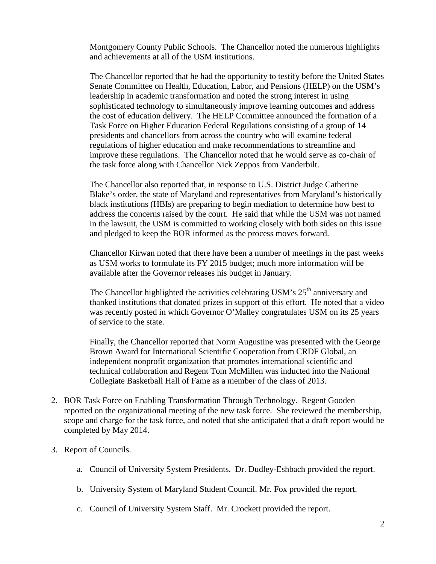Montgomery County Public Schools. The Chancellor noted the numerous highlights and achievements at all of the USM institutions.

The Chancellor reported that he had the opportunity to testify before the United States Senate Committee on Health, Education, Labor, and Pensions (HELP) on the USM's leadership in academic transformation and noted the strong interest in using sophisticated technology to simultaneously improve learning outcomes and address the cost of education delivery. The HELP Committee announced the formation of a Task Force on Higher Education Federal Regulations consisting of a group of 14 presidents and chancellors from across the country who will examine federal regulations of higher education and make recommendations to streamline and improve these regulations. The Chancellor noted that he would serve as co-chair of the task force along with Chancellor Nick Zeppos from Vanderbilt.

The Chancellor also reported that, in response to U.S. District Judge Catherine Blake's order, the state of Maryland and representatives from Maryland's historically black institutions (HBIs) are preparing to begin mediation to determine how best to address the concerns raised by the court. He said that while the USM was not named in the lawsuit, the USM is committed to working closely with both sides on this issue and pledged to keep the BOR informed as the process moves forward.

Chancellor Kirwan noted that there have been a number of meetings in the past weeks as USM works to formulate its FY 2015 budget; much more information will be available after the Governor releases his budget in January.

The Chancellor highlighted the activities celebrating USM's  $25<sup>th</sup>$  anniversary and thanked institutions that donated prizes in support of this effort. He noted that a video was recently posted in which Governor O'Malley congratulates USM on its 25 years of service to the state.

Finally, the Chancellor reported that Norm Augustine was presented with the George Brown Award for International Scientific Cooperation from CRDF Global, an independent nonprofit organization that promotes international scientific and technical collaboration and Regent Tom McMillen was inducted into the National Collegiate Basketball Hall of Fame as a member of the class of 2013.

- 2. BOR Task Force on Enabling Transformation Through Technology. Regent Gooden reported on the organizational meeting of the new task force. She reviewed the membership, scope and charge for the task force, and noted that she anticipated that a draft report would be completed by May 2014.
- 3. Report of Councils.
	- a. Council of University System Presidents. Dr. Dudley-Eshbach provided the report.
	- b. University System of Maryland Student Council. Mr. Fox provided the report.
	- c. Council of University System Staff. Mr. Crockett provided the report.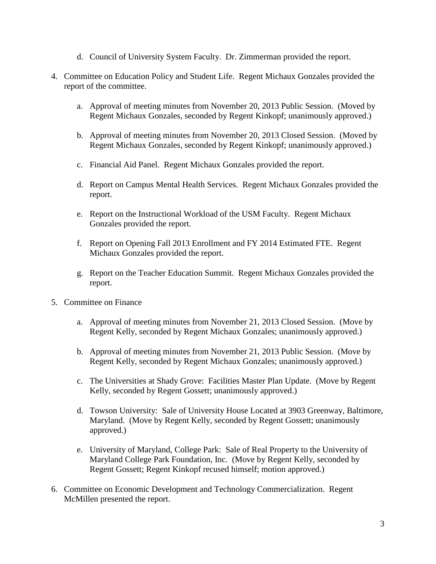- d. Council of University System Faculty. Dr. Zimmerman provided the report.
- 4. Committee on Education Policy and Student Life. Regent Michaux Gonzales provided the report of the committee.
	- a. Approval of meeting minutes from November 20, 2013 Public Session. (Moved by Regent Michaux Gonzales, seconded by Regent Kinkopf; unanimously approved.)
	- b. Approval of meeting minutes from November 20, 2013 Closed Session. (Moved by Regent Michaux Gonzales, seconded by Regent Kinkopf; unanimously approved.)
	- c. Financial Aid Panel. Regent Michaux Gonzales provided the report.
	- d. Report on Campus Mental Health Services. Regent Michaux Gonzales provided the report.
	- e. Report on the Instructional Workload of the USM Faculty. Regent Michaux Gonzales provided the report.
	- f. Report on Opening Fall 2013 Enrollment and FY 2014 Estimated FTE. Regent Michaux Gonzales provided the report.
	- g. Report on the Teacher Education Summit. Regent Michaux Gonzales provided the report.
- 5. Committee on Finance
	- a. Approval of meeting minutes from November 21, 2013 Closed Session. (Move by Regent Kelly, seconded by Regent Michaux Gonzales; unanimously approved.)
	- b. Approval of meeting minutes from November 21, 2013 Public Session. (Move by Regent Kelly, seconded by Regent Michaux Gonzales; unanimously approved.)
	- c. The Universities at Shady Grove: Facilities Master Plan Update. (Move by Regent Kelly, seconded by Regent Gossett; unanimously approved.)
	- d. Towson University: Sale of University House Located at 3903 Greenway, Baltimore, Maryland. (Move by Regent Kelly, seconded by Regent Gossett; unanimously approved.)
	- e. University of Maryland, College Park: Sale of Real Property to the University of Maryland College Park Foundation, Inc. (Move by Regent Kelly, seconded by Regent Gossett; Regent Kinkopf recused himself; motion approved.)
- 6. Committee on Economic Development and Technology Commercialization. Regent McMillen presented the report.